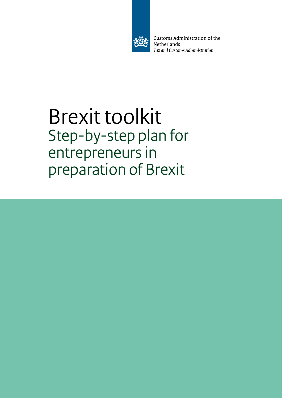

Customs Administration of the Netherlands Tax and Customs Administration

# Brexit toolkit Step-by-step plan for entrepreneurs in preparation of Brexit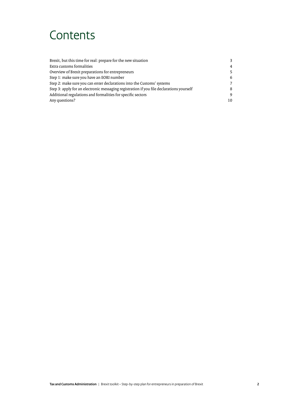### **Contents**

| Brexit, but this time for real: prepare for the new situation                            |     |
|------------------------------------------------------------------------------------------|-----|
| Extra customs formalities                                                                | 4   |
| Overview of Brexit preparations for entrepreneurs                                        |     |
| Step 1: make sure you have an EORI number                                                | 6   |
| Step 2: make sure you can enter declarations into the Customs' systems                   |     |
| Step 3: apply for an electronic messaging registration if you file declarations yourself |     |
| Additional regulations and formalities for specific sectors                              | q   |
| Any questions?                                                                           | 10. |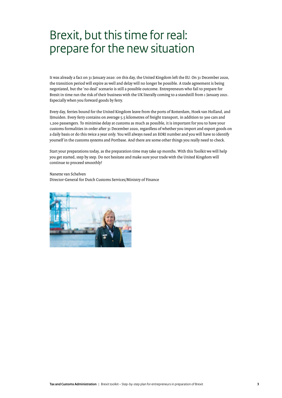### <span id="page-2-0"></span>Brexit, but this time for real: prepare for the new situation

It was already a fact on 31 January 2020: on this day, the United Kingdom left the EU. On 31 December 2020, the transition period will expire as well and delay will no longer be possible. A trade agreement is being negotiated, but the 'no deal' scenario is still a possible outcome. Entrepreneurs who fail to prepare for Brexit in time run the risk of their business with the UK literally coming to a standstill from 1 January 2021. Especially when you forward goods by ferry.

Every day, ferries bound for the United Kingdom leave from the ports of Rotterdam, Hoek van Holland, and IJmuiden. Every ferry contains on average 5.5 kilometres of freight transport, in addition to 300 cars and 1,200 passengers. To minimise delay at customs as much as possible, it is important for you to have your customs formalities in order after 31 December 2020, regardless of whether you import and export goods on a daily basis or do this twice a year only. You will always need an EORI number and you will have to identify yourself in the customs systems and Portbase. And there are some other things you really need to check.

Start your preparations today, as the preparation time may take up months. With this Toolkit we will help you get started, step by step. Do not hesitate and make sure your trade with the United Kingdom will continue to proceed smoothly!

Nanette van Schelven Director-General for Dutch Customs Services/Ministry of Finance

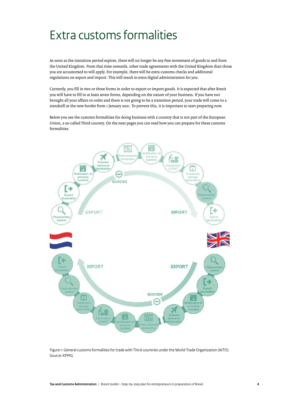### <span id="page-3-0"></span>Extra customs formalities

As soon as the transition period expires, there will no longer be any free movement of goods to and from the United Kingdom. From that time onwards, other trade agreements with the United Kingdom than those you are accustomed to will apply. For example, there will be extra customs checks and additional regulations on export and import. This will result in extra digital administration for you.

Currently, you fill in two or three forms in order to export or import goods. It is expected that after Brexit you will have to fill in at least seven forms, depending on the nature of your business. If you have not brought all your affairs in order and there is not going to be a transition period, your trade will come to a standstill at the new border from 1 January 2021. To prevent this, it is important to start preparing now.

Below you see the customs formalities for doing business with a country that is not part of the European Union, a so-called Third country. On the next pages you can read how you can prepare for these customs formalities.



Figure 1: General customs formalities for trade with Third countries under the World Trade Organization (WTO). Source: KPMG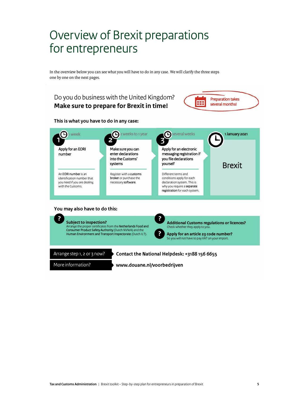### <span id="page-4-0"></span>Overview of Brexit preparations for entrepreneurs

In the overview below you can see what you will have to do in any case. We will clarify the three steps one by one on the next pages.

#### Do you do business with the United Kingdom? **Make sure to prepare for Brexit in time!**



**This is what you have to do in any case:** 



#### **You may also have to do this:**



More information?

**www.douane.nl/voorbedrijven**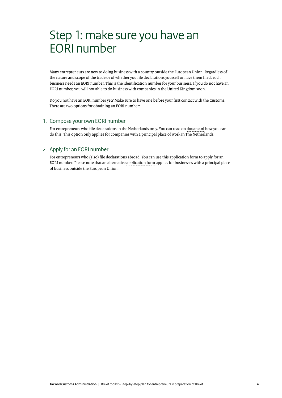### <span id="page-5-0"></span>Step 1: make sure you have an EORI number

Many entrepreneurs are new to doing business with a country outside the European Union. Regardless of the nature and scope of the trade or of whether you file declarations yourself or have them filed, each business needs an EORI number. This is the identification number for your business. If you do not have an EORI number, you will not able to do business with companies in the United Kingdom soon.

Do you not have an EORI number yet? Make sure to have one before your first contact with the Customs. There are two options for obtaining an EORI number:

#### 1. Compose your own EORI number

For entrepreneurs who file declarations in the Netherlands only. You can read on [douane.nl](https://www.belastingdienst.nl/wps/wcm/connect/bldcontenten/belastingdienst/customs/eori/eori-number/assignment_of_eori_number/assignment_of_eori_number) how you can do this. This option only applies for companies with a principal place of work in The Netherlands.

#### 2. Apply for an EORI number

For entrepreneurs who (also) file declarations abroad. You can use this [application form](https://www.belastingdienst.nl/wps/wcm/connect/bldcontenten/themaoverstijgend/applications_and_forms/customs/application_eori_number_for_companies_headquartered_inside_the_netherlands) to apply for an EORI number. Please note that an alternative [application form](https://www.belastingdienst.nl/wps/wcm/connect/bldcontenten/themaoverstijgend/applications_and_forms/customs/application_eori_number_for_companies_headquartered_outside_the_european_union) applies for businesses with a principal place of business outside the European Union.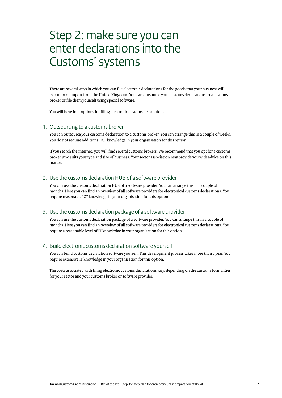### <span id="page-6-0"></span>Step 2: make sure you can enter declarations into the Customs'systems

There are several ways in which you can file electronic declarations for the goods that your business will export to or import from the United Kingdom. You can outsource your customs declarations to a customs broker or file them yourself using special software.

You will have four options for filing electronic customs declarations:

#### 1. Outsourcing to a customs broker

You can outsource your customs declaration to a customs broker. You can arrange this in a couple of weeks. You do not require additional ICT knowledge in your organisation for this option.

If you search the internet, you will find several [customs brokers.](https://www.google.com/search?rlz=1C1GCEU_nlNL836NL836&ei=3wUHX9e3NYHCkwXn253oAw&q=customs%2Bbrokers&oq=customs%2Bbrokers&gs_lcp=CgZwc3ktYWIQAzIGCAAQBxAeMgQIABAeMgQIABAeMgQIABAeMgQIABAeMgQIABAeMgQIABAeMgQIABAeMgQIABAeMgQIABAeOgQIABBHUPIRWPIRYJwVaABwAXgAgAFRiAFRkgEBMZgBAKABAaoBB2d3cy13aXo&sclient=psy-ab&ved=0ahUKEwiXo43LjsDqAhUB4aQKHedtBz0Q4dUDCAw&uact=5&safe=images) We recommend that you opt for a customs broker who suits your type and size of business. Your sector association may provide you with advice on this matter.

#### 2. Use the customs declaration HUB of a software provider

You can use the customs declaration HUB of a software provider. You can arrange this in a couple of months. [Here](https://www.belastingdienst.nl/wps/wcm/connect/bldcontenten/standaard_functies/individuals/contact/contact_other_subjects/customs_development_of_electronic_declaration_software_1/overview_of_software_developers) you can find an overview of all software providers for electronical customs declarations. You require reasonable ICT knowledge in your organisation for this option.

#### 3. Use the customs declaration package of a software provider

You can use the customs declaration package of a software provider. You can arrange this in a couple of months. [Here](https://www.belastingdienst.nl/wps/wcm/connect/bldcontenten/standaard_functies/individuals/contact/contact_other_subjects/customs_development_of_electronic_declaration_software_1/overview_of_software_developers) you can find an overview of all software providers for electronical customs declarations. You require a reasonable level of IT knowledge in your organisation for this option.

#### 4. Build electronic customs declaration software yourself

You can build customs declaration software yourself. This development process takes more than a year. You require extensive IT knowledge in your organisation for this option.

The costs associated with filing electronic customs declarations vary, depending on the customs formalities for your sector and your customs broker or software provider.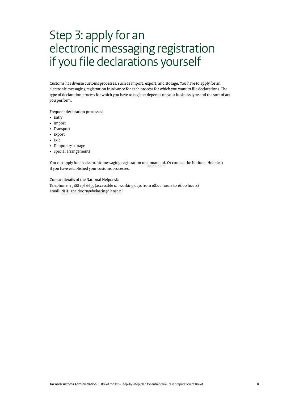### <span id="page-7-0"></span>Step 3: apply for an electronic messaging registration if you file declarations yourself

Customs has diverse customs processes, such as import, export, and storage. You have to apply for an electronic messaging registration in advance for each process for which you want to file declarations. The type of declaration process for which you have to register depends on your business type and the sort of act you perform.

Frequent declaration processes:

- Entry
- Import
- Transport
- Export
- Exit
- Temporary storage
- Special arrangements

You can apply for an electronic messaging registration on [douane.nl.](https://www.belastingdienst.nl/wps/wcm/connect/bldcontenten/belastingdienst/customs/authorisations/customs-authorisations/overview-of-customs-authorisations/overview-customs-authorisations) Or contact the National Helpdesk ifyou have established your customs processes.

Contact details of the National Helpdesk:

Telephone: +3188 156 6655 (accessible on working days from 08.00 hours to 16.00 hours) Email: [NHD.apeldoorn@belastingdienst.nl](mailto:NHD.apeldoorn%40belastingdienst.nl?subject=)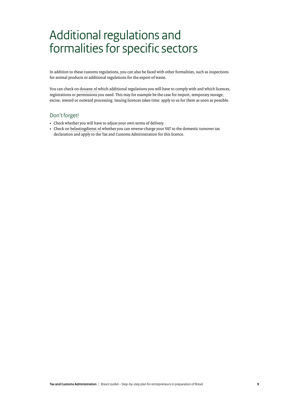### <span id="page-8-0"></span>Additional regulations and formalities for specific sectors

In addition to these customs regulations, you can also be faced with other formalities, such as inspections for animal products or additional regulations for the export of waste.

You can check on [douane.nl](https://www.belastingdienst.nl/wps/wcm/connect/bldcontenten/belastingdienst/customs/authorisations/customs-authorisations/overview-of-customs-authorisations/overview-customs-authorisations) which additional regulations you will have to comply with and which licences, registrations or permissions you need. This may for example be the case for import, temporary storage, excise, inward or outward processing. Issuing licences takes time: apply to us for them as soon as possible.

#### Don't forget!

- Check whether you will have to adjust your own terms of delivery.
- Check on [belastingdienst.nl](https://www.belastingdienst.nl/wps/wcm/connect/bldcontenten/belastingdienst/business/vat/vat_in_the_netherlands/vat_relating_to_purchase_and_sale_of_goods/import_from_non-_eu_countries_to_the_netherlands/reverse-charge_mechanism_on_import_article_23) whether you can reverse-charge your VAT to the domestic turnover tax declaration and apply to the Tax and Customs Administration for this licence.